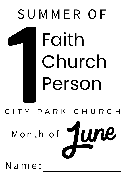

Month of



Na m e :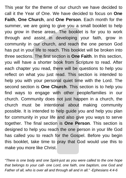n these areas. The booklet is for<br>in our church, and reach the one<br>cour life to reach. This booklet will t<br>ms. The first section is **One Faith. I**<br>we a shorter book from Scripture<br>er you read, there will be question is<br>the This year for the theme of our church we have decided to call it the Year of One. We have decided to focus on **One Faith**, **One Church**, and **One Person**. Each month for the summer, we are going to give you a small booklet to help you grow in these areas. The booklet is for you to work through and assist in developing your faith, grow in community in our church, and reach the one person God has put in your life to reach. This booklet will be broken into three sections. The first section is **One Faith**. In this section, you will have a shorter book from Scripture to read. After each chapter you read, there will be questions to help you reflect on what you just read. This section is intended to help you with your personal quiet time with the Lord. The second section is **One Church**. This section is to help you find ways to engage with other people/families in our church. Community does not just happen in a church, the church must be intentional about making community possible. It is intended to help guide you and help you plan for community in your life and also give you ways to serve together. The final section is **One Person**. This section is designed to help you reach the one person in your life God has called you to reach for the Gospel. Before you begin this booklet, take time to pray that God would use this to make you more like Christ.

*"There is one body and one Spirit-just as you were called to the one hope that belongs to your call- one Lord, one faith, one baptism, one God and Father of all, who is over all and through all and in all." -Ephesians 4:4-6*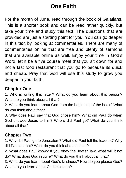# **One Faith**

For the month of June, read through the book of Galatians. This is a shorter book and can be read rather quickly, but take your time and study this text. The questions that are provided are just a starting point for you. You can go deeper in this text by looking at commentaries. There are many of commentaries online that are free and plenty of sermons that are available online as well. Enjoy your time in God's Word, let it be a five course meal that you sit down for and not a fast food restaurant that you go to because its quick and cheap. Pray that God will use this study to grow you deeper in your faith.

### **Chapter One**

1. Who is writing this letter? What do you learn about this person? What do you think about all that?

2. What do you learn about God from the beginning of the book? What do you think about that?

3. Why does Paul say that God chose him? What did Paul do when God showed Jesus to him? Where did Paul go? What do you think about all that?

#### **Chapter Two**

1. Why did Paul go to Jerusalem? What did Paul tell the leaders? Why did Paul do that? What do you think about all that?

2. What does Paul know? If you obey the Jewish law, what will it not do? What does God require? What do you think about all that?

3. What do you learn about God's kindness? How do you please God? What do you learn about Christ's death?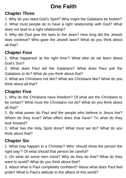# **One Faith**

## **Chapter Three**

1. Why do you need God's Spirit? Why might the Galatians be foolish?

2. What must people do to have a right relationship with God? What does not lead to a right relationship?

3. Why did God give the laws to the Jews? How long did the Jewish laws continue? Who gave the Jewish laws? What do you think about all that?

## **Chapter Four**

1. What happened 'at the right time'? What else do we learn about God's Son?

2. What does Paul tell the Galatians? What does Paul ask the Galatians to do? What do you think about that?

3. What are Christians not like? What are Christians like? What do you think about all that?

## **Chapter Five**

1. Why do the Christians have freedom? Of what are the Christians to be certain? What must the Christians not do? What do you think about all that?

2. By what power do Paul and the people who believe in Jesus live? Whom do they trust? What effect does that have? To what do they look forward?

3. What has the Holy Spirit done? What must we do? What do you think about that?

## **Chapter Six**

1. What may happen to a Christian? Who 'should show the person the right way'? Of what should that person be careful?

2. On what do some men insist? Why do they do that? What do they want to avoid? What do you think about that?

3. About what is Paul completely confident? About what does Paul feel pride? What is Paul's attitude to the affairs of this world?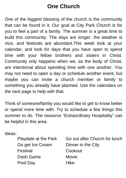# **One Church**

One of the biggest blessing of the church is the community that can be found in it. Our goal at City Park Church is for you to feel a part of a family. The summer is a great time to build this community. The days are longer, the weather is nice, and festivals are abundant.This week look at your calendar, and look for days that you have open to spend time with your fellow brothers and sisters in Christ. Community only happens when we, as the body of Christ, are intentional about spending time with one another. You may not need to open a day or schedule another event, but maybe you can invite a church member or family to something you already have planned. Use the calendars on the next page to help with that.

Think of someone/family you would like to get to know better or spend more time with. Try to schedule a few things this summer to do. The resource "Extraordinary Hospitality" can be helpful in this area.

Ideas:

| Playdate at the Park | Go out after Church for lunch |
|----------------------|-------------------------------|
| Go get Ice Cream     | Dinner in the City            |
| Festival             | Cookout                       |
| Dash Game            | Movie                         |
| Pool Day             | Hike                          |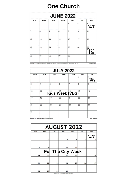## **One Church**

| <b>JUNE 2022</b> |                                                                                                    |     |     |            |     |                                    |
|------------------|----------------------------------------------------------------------------------------------------|-----|-----|------------|-----|------------------------------------|
| <b>SUN</b>       | <b>MON</b>                                                                                         | TUE | WED | <b>THU</b> | FRI | <b>SAT</b>                         |
|                  |                                                                                                    |     |     | 2          | 3   | 4<br>Prayer<br>Walk                |
| 5                | 6                                                                                                  | 7   | 8   | 9          | 10  | 11                                 |
| 12               | 13                                                                                                 | 14  | 15  | 16         | 17  | 18                                 |
| 19               | 20                                                                                                 | 21  | 22  | 23         | 24  | 25<br>Family<br>Fun<br><b>Fest</b> |
| 26               | 27                                                                                                 | 28  | 29  | 30         |     |                                    |
|                  | Holidays and Observances: 14: Flag Day, 19: Father's Day, 19: Juneteenth, 20: 'Juneteenth' day off |     |     |            |     | Wiki Calendar                      |

Holidays and Observances: 14: Flag Day, 19: Father's Day, 19: Juneteenth, 20: 'Juneteenth' day off

| <b>JULY 2022</b> |                                               |            |                                                              |            |            |                     |
|------------------|-----------------------------------------------|------------|--------------------------------------------------------------|------------|------------|---------------------|
| <b>SUN</b>       | <b>MON</b>                                    | <b>TUE</b> | WED                                                          | <b>THU</b> | <b>FRI</b> | <b>SAT</b>          |
|                  |                                               |            |                                                              |            |            | 2<br>Prayer<br>Walk |
| 3                | 4                                             | 5          | 6                                                            | 7          | 8          | 9                   |
| 10               | 11                                            |            | $\overline{\mathsf{K}}$ ids Week $\overline{\mathsf{W}}$ BS) |            | 15         | 16                  |
| 17               | 18                                            | 19         | 20                                                           | 21         | 22         | 23                  |
| 24               | 25                                            | 26         | 27                                                           | 28         | 29         | 30                  |
| 31               |                                               |            |                                                              |            |            |                     |
|                  | Holidays and Observances: 4: Independence Day |            |                                                              |            |            | Wiki Calendar       |

| <b>AUGUST 2022</b> |            |            |                                       |            |            |                |  |
|--------------------|------------|------------|---------------------------------------|------------|------------|----------------|--|
| <b>SUN</b>         | <b>MON</b> | <b>TUE</b> | WED                                   | <b>THU</b> | <b>FRI</b> | <b>SAT</b>     |  |
|                    |            |            |                                       |            |            | Prayer<br>Walk |  |
|                    | 8          | 9          | 10                                    | 11         | 12         | 13             |  |
|                    |            |            | For The City Week                     |            |            |                |  |
| 14                 | 15         | 16         |                                       | 18         | 19         | 20             |  |
| 21                 | 22         | 23         | 24                                    | 25         | 26         | 27             |  |
| 28                 | 29         | 30         | 31<br>www.free-printable-calendar.com |            |            |                |  |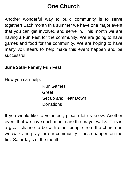# **One Church**

Another wonderful way to build community is to serve together! Each month this summer we have one major event that you can get involved and serve in. This month we are having a Fun Fest for the community. We are going to have games and food for the community. We are hoping to have many volunteers to help make this event happen and be successful.

#### **June 25th- Family Fun Fest**

How you can help:

Run Games Greet Set up and Tear Down Donations

If you would like to volunteer, please let us know. Another event that we have each month are the prayer walks. This is a great chance to be with other people from the church as we walk and pray for our community. These happen on the first Saturday's of the month.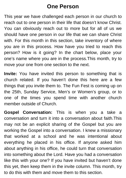## **One Person**

This year we have challenged each person in our church to reach out to one person in their life that doesn't know Christ. You can obviously reach out to more but for all of us we should have one person in our life that we can share Christ with. For this month in this section, take inventory of where you are in this process. How have you tried to reach this person? How is it going? In the chart below, place your one's name where you are in the process.This month, try to move your one from one section to the next.

**Invite:** You have invited this person to something that is church related. If you haven't done this here are a few things that you invite them to. The Fun Fest is coming up on the 25th, Sunday Service, Men's or Women's group, or to one of the times you spend time with another church member outside of Church.

**Gospel Conversation:** This is when you a take a conversation and turn it into a conversation about faith.This may not be an explicit sharing of the Gospel but you are working the Gospel into a conversation. I knew a missionary that worked at a school and he was intentional about everything he placed in his office. If anyone asked him about anything in his office, he could turn that conversation into something about the Lord. Have you had a conversation like this with your one? If you have invited but haven't done this yet, then keep them in the invite column. This month, try to do this with them and move them to this section.